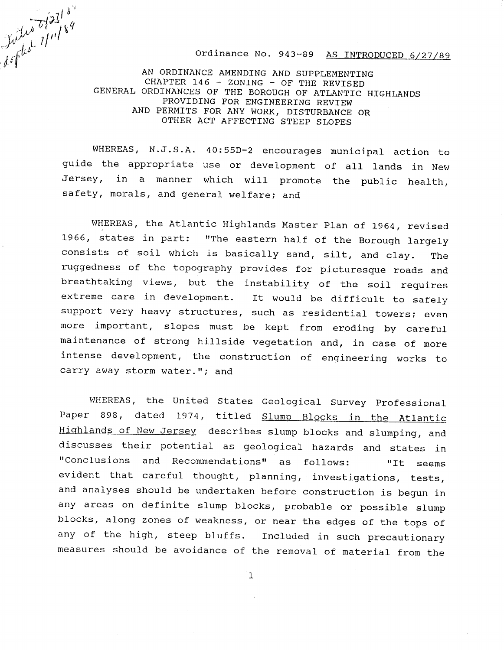Ordinance No. 943-89 AS INTRODUCED 6/27/<sup>89</sup>

AN ORDINANCE AMENDING AND SUPPLEMENTING CHAPTER 146 - ZONING - OF THE REVISED GENERAL ORDINANCES OF THE BOROUGH OF ATLANTIC HIGHLANDS PROVIDING FOR ENGINEERING REVIEW AND PERMITS FOR ANY WORK, DISTURBANCE OR OTHER ACT AFFECTING STEEP SLOPES

 $\frac{1}{2}\int d\mu \int d\mu \int d^2\mu \int d^2\mu$ 

WHEREAS, N.J.S.A. 40:55D-2 encourages municipal action to guide the appropriate use or development of all lands in New Jersey, in a manner which will promote the public health, safety, morals, and general welfare; and

WHEREAS, the Atlantic Highlands Master Plan of 1964, revised 1966, states in part: "The eastern half of the Borough largely consists of soil which is basically sand, silt, and clay. The ruggedness of the topography provides for picturesque roads and breathtaking views, but the instability of the soil requires extreme care in development. It would be difficult to safely support very heavy structures, such as residential towers; even more important, slopes must be kept from eroding by careful maintenance of strong hillside vegetation and, in case of more intense development, the construction of engineering works to carry away storm water."; and

WHEREAS, the United States Geological Survey Professional Paper 898, dated 1974, titled Slump Blocks in the Atlantic Highlands of New Jersey describes slump blocks and slumping, and discusses their potential as geological hazards and states in "Conclusions and Recommendations" as follows: "It seems evident that careful thought, planning, investigations, tests, and analyses should be undertaken before construction is begun in any areas on definite slump blocks, probable or possible slump blocks, along zones of weakness, or near the edges of the tops of any of the high, steep bluffs. Included in such precautionary measures should be avoidance of the removal of material from the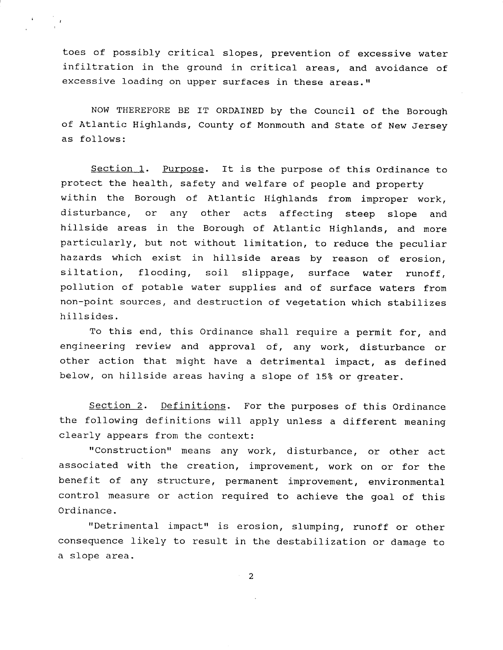toes of possibly critical slopes, prevention of excessive water infiltration in the ground in critical areas, and avoidance of excessive loading on upper surfaces in these areas. "

NOW THEREFORE BE IT ORDAINED by the Council of the Borough of Atlantic Highlands, County of Monmouth and State of New Jersey as follows:

Section 1. Purpose. It is the purpose of this Ordinance to protect the health, safety and welfare of people and property within the Borough of Atlantic Highlands from improper work, disturbance, or any other acts affecting steep slope and hillside areas in the Borough of Atlantic Highlands, and more particularly, but not without limitation, to reduce the peculiar hazards which exist in hillside areas by reason of erosion, siltation, flooding, soil slippage, surface water runoff, pollution of potable water supplies and of surface waters from non-point sources, and destruction of vegetation which stabilizes hillsides.

To this end, this Ordinance shall require a permit for, and engineering review and approval of, any work, disturbance or other action that might have a detrimental impact, as defined below, on hillside areas having a slope of 15% or greater.

Section 2. Definitions. For the purposes of this Ordinance the following definitions will apply unless a different meaning clearly appears from the context:

"Construction" means any work, disturbance, or other act associated with the creation, improvement, work on or for the benefit of any structure, permanent improvement, environmental control measure or action required to achieve the goal of this Ordinance.

"Detrimental impact" is erosion, slumping, runoff or other consequence likely to result in the destabilization or damage to a slope area.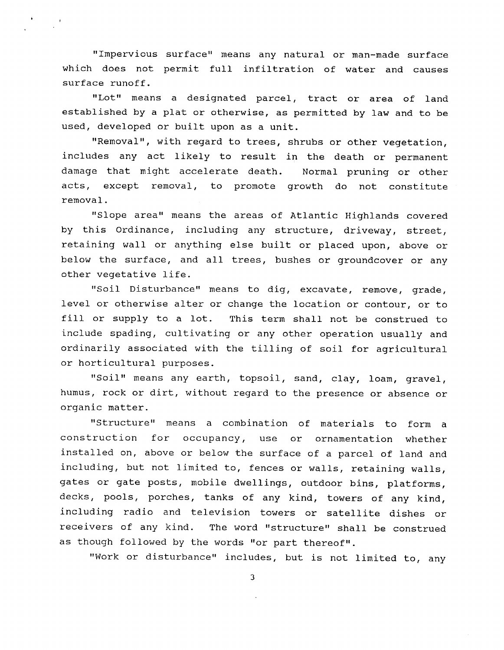"Impervious surface" means any natural or man-made surface which does not permit full infiltration of water and causes surface runoff.

"Lot" means a designated parcel, tract or area of land established by a plat or otherwise, as permitted by law and to be used, developed or built upon as a unit.

"Removal", with regard to trees, shrubs or other vegetation, includes any act likely to result in the death or permanent damage that might accelerate death. Normal pruning or other acts, except removal, to promote growth do not constitute removal.

"Slope area" means the areas of Atlantic Highlands covered by this Ordinance, including any structure, driveway, street, retaining wall or anything else built or placed upon, above or below the surface, and all trees, bushes or groundcover or any other vegetative life.

"Soil Disturbance" means to dig, excavate, remove, grade, level or otherwise alter or change the location or contour, or to fill or supply to a lot. This term shall not be construed to include spading, cultivating or any other operation usually and ordinarily associated with the tilling of soil for agricultural or horticultural purposes.

"Soil" means any earth, topsoil, sand, clay, loam, gravel, humus, rock or dirt, without regard to the presence or absence or organic matter.

"Structure" means a combination of materials to form <sup>a</sup> construction for occupancy, use or ornamentation whether installed on, above or below the surface of a parcel of land and including, but not limited to, fences or walls, retaining walls, gates or gate posts, mobile dwellings, outdoor bins, platforms, decks, pools, porches, tanks of any kind, towers of any kind, including radio and television towers or satellite dishes or receivers of any kind. The word "structure" shall be construed as though followed by the words "or part thereof".

"Work or disturbance" includes, but is not limited to, any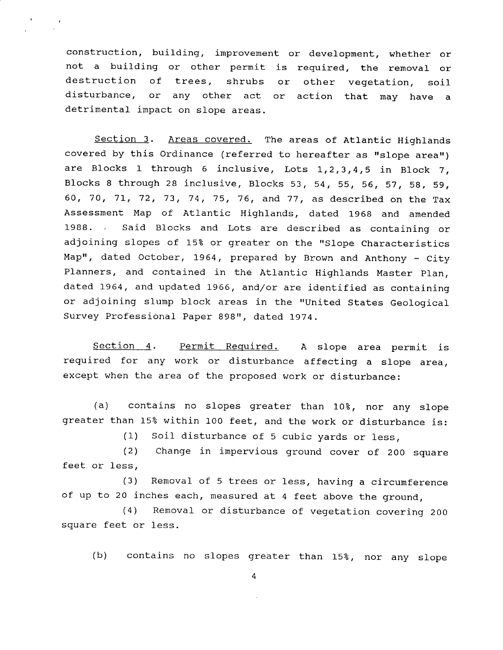construction, building, improvement or development, whether or not a building or other permit is required, the removal or destruction of trees, shrubs or other vegetation, soil disturbance, or any other act or action that may have <sup>a</sup> detrimental impact on slope areas.

Section 3. Areas covered. The areas of Atlantic Highlands covered by this Ordinance (referred to hereafter as "slope area") are Blocks 1 through 6 inclusive, Lots 1,2,3,4,5 in Block 7, Blocks 8 through 28 inclusive, Blocks 53, 54, 55, 56, 57, 58, 59, 60, 70, 71, 72, 73, 74, 75, 76, and 77, as described on the Tax Assessment Map of Atlantic Highlands, dated 1968 and amended 1988. . Said Blocks and Lots are described as containing or adjoining slopes of 15% or greater on the "Slope Characteristics Map", dated October, 1964, prepared by Brown and Anthony - City Planners, and contained in the Atlantic Highlands Master Plan, dated 1964, and updated 1966, and/or are identified as containing or adjoining slump block areas in the "United States Geological Survey Professional Paper 898", dated 1974.

Section 4. Permit Required. A slope area permit is required for any work or disturbance affecting a slope area, except when the area of the proposed work or disturbance:

(a) contains no slopes greater than 10%, nor any slope greater than 15% within 100 feet, and the work or disturbance is:

(1) Soil disturbance of 5 cubic yards or less,

(2) Change in impervious ground cover of 200 square feet or less,

(3) Removal of 5 trees or less, having a circumference of up to 20 inches each, measured at 4 feet above the ground,

(4) Removal or disturbance of vegetation covering 200 square feet or less.

(b) contains no slopes greater than 15% , nor any slope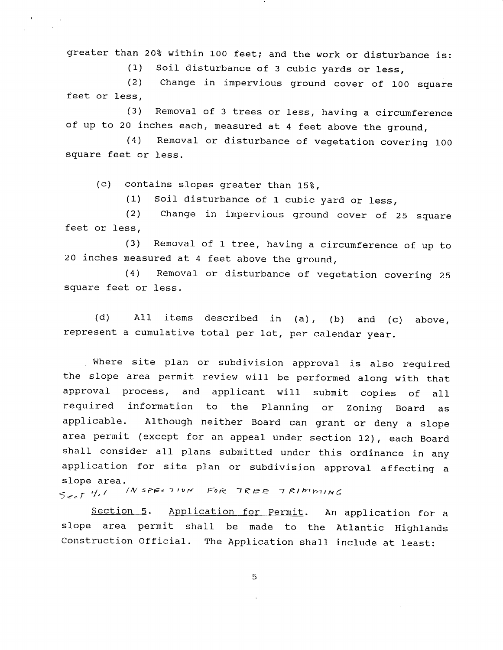greater than 20% within 100 feet; and the work or disturbance is:

(1) Soil disturbance of 3 cubic yards or less,

(2) Change in impervious ground cover of 100 square feet or less,

(3) Removal of 3 trees or less, having a circumference of up to 20 inches each, measured at 4 feet above the ground,

(4) Removal or disturbance of vegetation covering <sup>100</sup> square feet or less.

(c) contains slopes greater than 15% ,

(1) Soil disturbance of 1 cubic yard or less,

(2) Change in impervious ground cover of 25 square feet or less,

(3) Removal of 1 tree, having a circumference of up to 20 inches measured at 4 feet above the ground,

(4) Removal or disturbance of vegetation covering <sup>25</sup> square feet or less.

(d) All items described in (a), (b) and (c) above, represent a cumulative total per lot, per calendar year.

Where site plan or subdivision approval is also required the slope area permit review will be performed along with that approval process, and applicant will submit copies of all required information to the Planning or Zoning Board as applicable. Although neither Board can grant or deny a slope area permit (except for an appeal under section 12), each Board shall consider all plans submitted under this ordinance in any application for site plan or subdivision approval affecting <sup>a</sup> slope area. INSPECTION FOR TREE TRIMMING Sect 4.1

Section 5. Application for Permit. An application for a slope area permit shall be made to the Atlantic Highlands Construction Official. The Application shall include at least: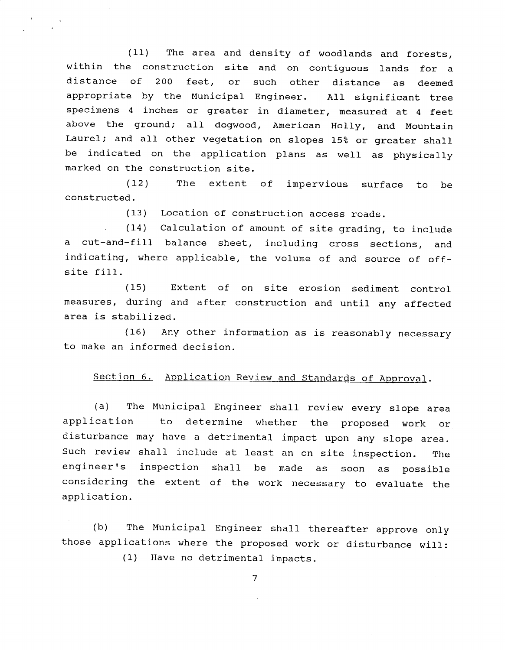(11) The area and density of woodlands and forests, within the construction site and on contiguous lands for <sup>a</sup> distance of 200 feet, or such other distance as deemed appropriate by the Municipal Engineer. All significant tree specimens 4 inches or greater in diameter, measured at 4 feet above the ground; all dogwood, American Holly, and Mountain Laurel; and all other vegetation on slopes 15% or greater shall be indicated on the application plans as well as physically marked on the construction site.

(12) The extent of impervious surface to be constructed.

(13) Location of construction access roads.

(14) Calculation of amount of site grading, to include <sup>a</sup>cut-and-fill balance sheet, including cross sections, and indicating, where applicable, the volume of and source of offsite fill.

(15) Extent of on site erosion sediment control measures, during and after construction and until any affected area is stabilized.

(16) Any other information as is reasonably necessary to make an informed decision.

## Section 6. Application Review and Standards of Approval.

(a) The Municipal Engineer shall review every slope area application to determine whether the proposed work or disturbance may have a detrimental impact upon any slope area. Such review shall include at least an on site inspection. The engineer's inspection shall be made as soon as possible considering the extent of the work necessary to evaluate the application.

(b) The Municipal Engineer shall thereafter approve only those applications where the proposed work or disturbance will:

(1) Have no detrimental impacts.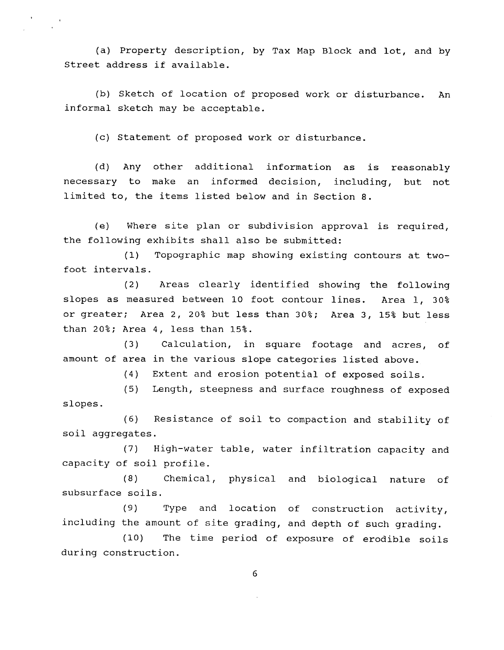(a) Property description, by Tax Map Block and lot, and by Street address if available.

(b) Sketch of location of proposed work or disturbance. An informal sketch may be acceptable.

(c) Statement of proposed work or disturbance.

(d) Any other additional information as is reasonably necessary to make an informed decision, including, but not limited to, the items listed below and in Section 8.

(e) Where site plan or subdivision approval is required, the following exhibits shall also be submitted:

(1) Topographic map showing existing contours at twofoot intervals.

(2) Areas clearly identified showing the following slopes as measured between 10 foot contour lines. Area 1, 30% or greater; Area 2, 20% but less than 30%; Area 3, 15% but less than 20%; Area 4, less than 15%.

(3) Calculation, in square footage and acres, of amount of area in the various slope categories listed above.

(4) Extent and erosion potential of exposed soils.

(5) Length, steepness and surface roughness of exposed slopes.

(6) Resistance of soil to compaction and stability of soil aggregates.

(7) High-water table, water infiltration capacity and capacity of soil profile.

(8) Chemical, physical and biological nature of subsurface soils.

(9) Type and location of construction activity, including the amount of site grading, and depth of such grading.

(10) The time period of exposure of erodible soils during construction.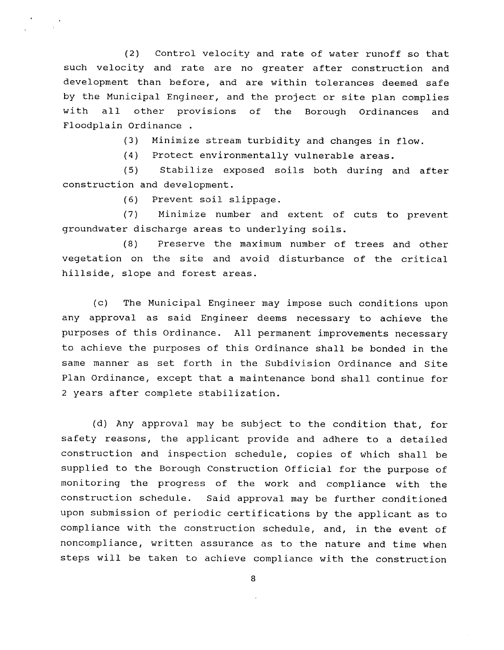(2) Control velocity and rate of water runoff so that such velocity and rate are no greater after construction and development than before, and are within tolerances deemed safe by the Municipal Engineer, and the project or site plan complies with all other provisions of the Borough Ordinances and Floodplain Ordinance .

(3) Minimize stream turbidity and changes in flow.

(4) Protect environmentally vulnerable areas.

(5) Stabilize exposed soils both during and after construction and development.

(6) Prevent soil slippage.

(7) Minimize number and extent of cuts to prevent groundwater discharge areas to underlying soils.

(8) Preserve the maximum number of trees and other vegetation on the site and avoid disturbance of the critical hillside, slope and forest areas.

(c) The Municipal Engineer may impose such conditions upon any approval as said Engineer deems necessary to achieve the purposes of this ordinance. All permanent improvements necessary to achieve the purposes of this Ordinance shall be bonded in the same manner as set forth in the Subdivision Ordinance and Site Plan Ordinance, except that a maintenance bond shall continue for <sup>2</sup>years after complete stabilization.

(d) Any approval may be subject to the condition that, for safety reasons, the applicant provide and adhere to a detailed construction and inspection schedule, copies of which shall be supplied to the Borough Construction Official for the purpose of monitoring the progress of the work and compliance with the construction schedule. Said approval may be further conditioned upon submission of periodic certifications by the applicant as to compliance with the construction schedule, and, in the event of noncompliance, written assurance as to the nature and time when steps will be taken to achieve compliance with the construction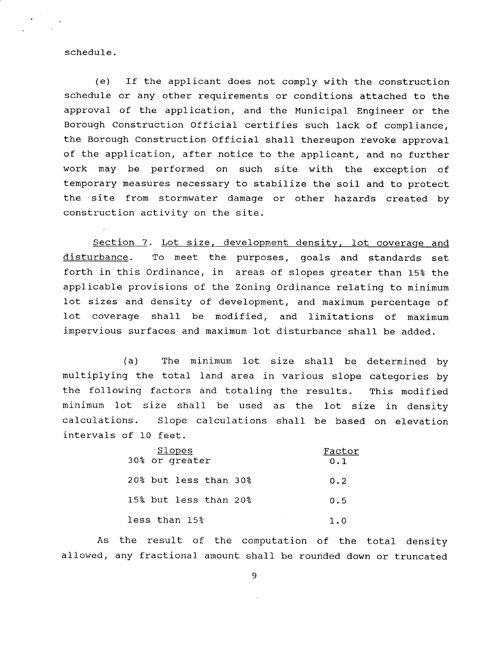schedule.

(e) If the applicant does not comply with the construction schedule or any other requirements or conditions attached to the approval of the application, and the Municipal Engineer or the Borough Construction Official certifies such lack of compliance, the Borough Construction Official shall thereupon revoke approval of the application, after notice to the applicant, and no further work may be performed on such site with the exception of temporary measures necessary to stabilize the soil and to protect the site from stormwater damage or other hazards created by construction activity on the site.

Section 7. Lot size, development density, lot coverage and disturbance. To meet the purposes, goals and standards set forth in this Ordinance, in areas of slopes greater than 15% the applicable provisions of the Zoning Ordinance relating to minimum lot sizes and density of development, and maximum percentage of lot coverage shall be modified, and limitations of maximum impervious surfaces and maximum lot disturbance shall be added.

(a) The minimum lot size shall be determined by multiplying the total land area in various slope categories by the following factors and totaling the results. This modified minimum lot size shall be used as the lot size in density calculations. Slope calculations shall be based on elevation intervals of 10 feet.

| <u>Slopes</u><br>30% or greater | Factor<br>0.1 |
|---------------------------------|---------------|
| $20\%$ but less than $30\%$     | 0.2           |
| 15% but less than 20%           | 0.5           |
| less than 15%                   | າ.ດ           |

As the result of the computation of the total density allowed, any fractional amount shall be rounded down or truncated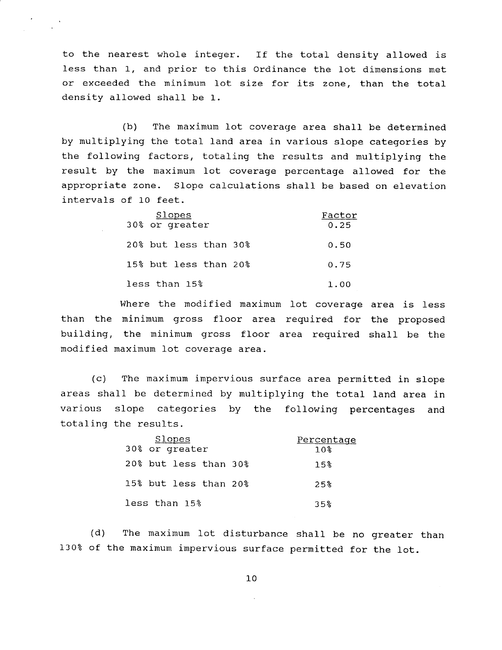to the nearest whole integer. If the total density allowed is less than 1, and prior to this Ordinance the lot dimensions met or exceeded the minimum lot size for its zone, than the total density allowed shall be 1.

(b) The maximum lot coverage area shall be determined by multiplying the total land area in various slope categories by the following factors, totaling the results and multiplying the result by the maximum lot coverage percentage allowed for the appropriate zone. Slope calculations shall be based on elevation intervals of 10 feet.

| Slopes<br>30% or greater    | Factor<br>0.25 |
|-----------------------------|----------------|
| $20\%$ but less than $30\%$ | 0.50           |
| 15% but less than 20%       | 0.75           |
| less than 15%               | 1.00           |

Where the modified maximum lot coverage area is less than the minimum gross floor area required for the proposed building, the minimum gross floor area required shall be the modified maximum lot coverage area.

(c) The maximum impervious surface area permitted in slope areas shall be determined by multiplying the total land area in various slope categories by the following percentages and totaling the results.

| Slopes<br>30% or greater | Percentage<br>10% |
|--------------------------|-------------------|
| 20% but less than 30%    | 15%               |
| 15% but less than 20%    | 25%               |
| less than 15%            | 35%               |

(d) The maximum lot disturbance shall be no greater than 130% of the maximum impervious surface permitted for the lot.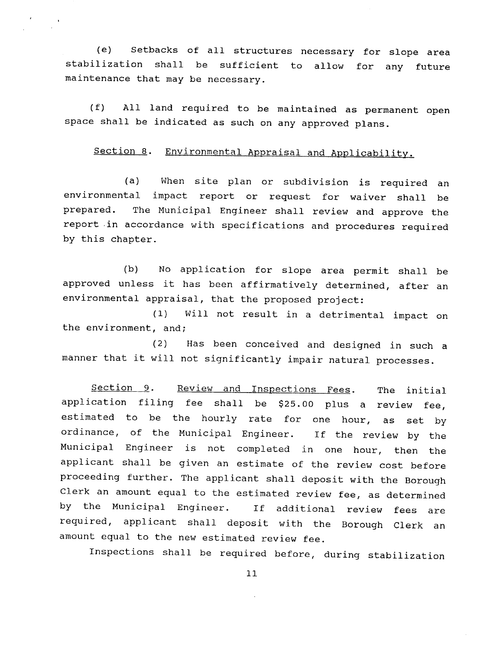(e) Setbacks of all structures necessary for slope area stabilization shall be sufficient to allow for any future maintenance that may be necessary.

(f) All land required to be maintained as permanent open space shall be indicated as such on any approved plans.

## Section 8. Environmental Appraisal and Applicability.

(a) When site plan or subdivision is required an environmental impact report or request for waiver shall be prepared. The Municipal Engineer shall review and approve the report .in accordance with specifications and procedures required by this chapter.

(b) No application for slope area permit shall be approved unless it has been affirmatively determined, after an environmental appraisal, that the proposed project:

(1) Will not result in a detrimental impact on the environment, and;

(2) Has been conceived and designed in such <sup>a</sup> manner that it will not significantly impair natural processes.

Section 9. Review and Inspections Fees. The initial application filing fee shall be \$25.00 plus a review fee, estimated to be the hourly rate for one hour, as set by ordinance, of the Municipal Engineer. If the review by the Municipal Engineer is not completed in one hour, then the applicant shall be given an estimate of the review cost before proceeding further. The applicant shall deposit with the Borough Clerk an amount equal to the estimated review fee, as determined by the Municipal Engineer. If additional review fees are by the Municipal Engineer. If additional review fees are<br>required, applicant shall deposit with the Borough Clerk an amount equal to the new estimated review fee.

Inspections shall be required before, during stabilization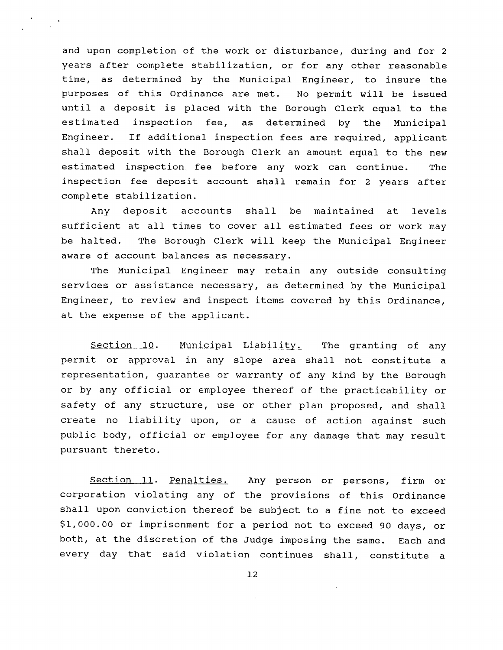and upon completion of the work or disturbance, during and for <sup>2</sup> years after complete stabilization, or for any other reasonable time, as determined by the Municipal Engineer, to insure the purposes of this Ordinance are met. No permit will be issued until a deposit is placed with the Borough Clerk equal to the estimated inspection fee, as determined by the Municipal Engineer. If additional inspection fees are required, applicant shall deposit with the Borough Clerk an amount equal to the new estimated inspection. fee before any work can continue. The inspection fee deposit account shall remain for 2 years after complete stabilization.

Any deposit accounts shall be maintained at levels sufficient at all times to cover all estimated fees or work may be halted. The Borough Clerk will keep the Municipal Engineer aware of account balances as necessary.

The Municipal Engineer may retain any outside consulting services or assistance necessary, as determined by the Municipal Engineer, to review and inspect items covered by this Ordinance, at the expense of the applicant.

Section 10. Municipal Liability. The granting of any permit or approval in any slope area shall not constitute <sup>a</sup> representation, guarantee or warranty of any kind by the Borough or by any official or employee thereof of the practicability or safety of any structure, use or other plan proposed, and shall create no liability upon, or a cause of action against such public body, official or employee for any damage that may result pursuant thereto.

Section 11. Penalties. Any person or persons, firm or corporation violating any of the provisions of this Ordinance shall upon conviction thereof be subject to a fine not to exceed \$1,000.00 or imprisonment for a period not to exceed 90 days, or both, at the discretion of the Judge imposing the same. Each and every day that said violation continues shall, constitute <sup>a</sup>